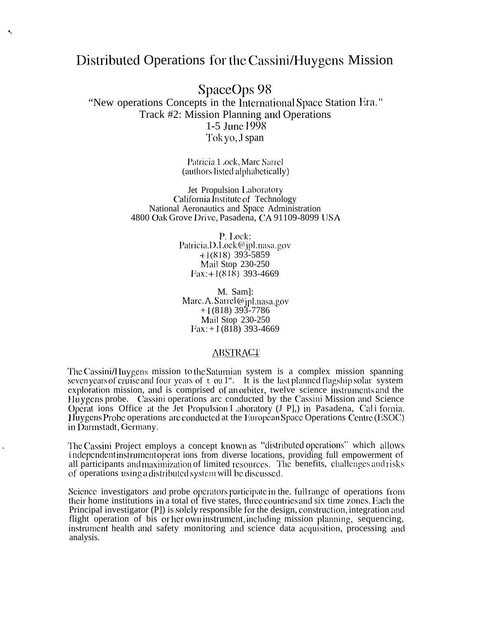## Distributed Operations for the Cassini/Huygens Mission

k,

SpaceOps 98

"New operations Concepts in the International Space Station Era." Track #2: Mission Planning and Operations 1-5 June 1998 Tok yo, J span

> Patricia 1 .ock, Marc Sarrel (authors listed alphabetically)

Jet Propulsion Laboratory California Institute of Technology National Aeronautics and Space Administration 4800 Oak Grove Drive, Pasadena, CA 91109-8099 USA

> P. Lock: Patricia.D.Lock@jpl.nasa.gov  $+1(818)$  393-5859 Mail Stop 230-250 Fax: +1(818) 393-4669

M. Saml: Marc.A.Sarrel@jpl.nasa.gov  $+1(818)$  393-7786 Mail Stop 230-250  $\text{Fax}: +1(818)$  393-4669

## **ABSTRACT**

The Cassini/Huygens mission to the Saturnian system is a complex mission spanning seven years of cruise and four years of  $\pm$  ou 1". It is the last planned flagship solar system exploration mission, and is comprised of an orbiter, twelve science instruments and the Huygens probe. Cassini operations arc conducted by the Cassini Mission and Science Operat ions Office at the Jet Propulsion L aboratory (J P], in Pasadena, Cali fornia. Huygens Probe operations are conducted at the European Space Operations Centre (ESOC) in Darmstadt, Germany.

The Cassini Project employs a concept known as "distributed operations" which allows independent instrument operations from diverse locations, providing full empowerment of all participants and maximization of limited resources. The benefits, challenges and risks of operations using a distributed system will be discussed.

Science investigators and probe operators participate in the full range of operations from their home institutions in a total of five states, three countries and six time zones. Each the Principal investigator (P]) is solely responsible for the design, construction, integration and flight operation of bis or her own instrument, including mission planning, sequencing, instrument health and safety monitoring and science data acquisition, processing and analysis.